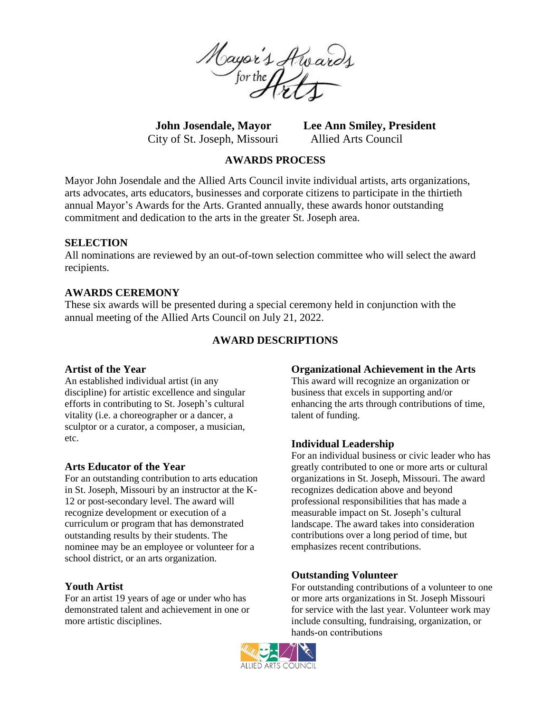

City of St. Joseph, Missouri Allied Arts Council

**John Josendale, Mayor Lee Ann Smiley, President**

## **AWARDS PROCESS**

Mayor John Josendale and the Allied Arts Council invite individual artists, arts organizations, arts advocates, arts educators, businesses and corporate citizens to participate in the thirtieth annual Mayor's Awards for the Arts. Granted annually, these awards honor outstanding commitment and dedication to the arts in the greater St. Joseph area.

#### **SELECTION**

All nominations are reviewed by an out-of-town selection committee who will select the award recipients.

## **AWARDS CEREMONY**

These six awards will be presented during a special ceremony held in conjunction with the annual meeting of the Allied Arts Council on July 21, 2022.

## **AWARD DESCRIPTIONS**

#### **Artist of the Year**

An established individual artist (in any discipline) for artistic excellence and singular efforts in contributing to St. Joseph's cultural vitality (i.e. a choreographer or a dancer, a sculptor or a curator, a composer, a musician, etc.

#### **Arts Educator of the Year**

For an outstanding contribution to arts education in St. Joseph, Missouri by an instructor at the K-12 or post-secondary level. The award will recognize development or execution of a curriculum or program that has demonstrated outstanding results by their students. The nominee may be an employee or volunteer for a school district, or an arts organization.

# **Youth Artist**

For an artist 19 years of age or under who has demonstrated talent and achievement in one or more artistic disciplines.

#### **Organizational Achievement in the Arts**

This award will recognize an organization or business that excels in supporting and/or enhancing the arts through contributions of time, talent of funding.

#### **Individual Leadership**

For an individual business or civic leader who has greatly contributed to one or more arts or cultural organizations in St. Joseph, Missouri. The award recognizes dedication above and beyond professional responsibilities that has made a measurable impact on St. Joseph's cultural landscape. The award takes into consideration contributions over a long period of time, but emphasizes recent contributions.

#### **Outstanding Volunteer**

For outstanding contributions of a volunteer to one or more arts organizations in St. Joseph Missouri for service with the last year. Volunteer work may include consulting, fundraising, organization, or hands-on contributions